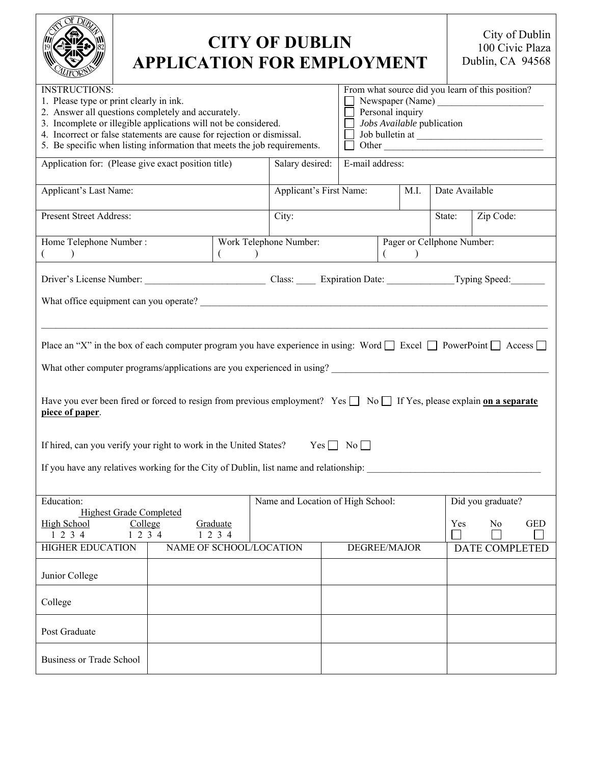|                                                                                                                                                                                                                                                                                                                                                | <b>CITY OF DUBLIN</b><br><b>APPLICATION FOR EMPLOYMENT</b>     |                         |                 |  |                                                                                                                                |                   |                            |           | City of Dublin<br>100 Civic Plaza<br>Dublin, CA 94568 |                       |            |
|------------------------------------------------------------------------------------------------------------------------------------------------------------------------------------------------------------------------------------------------------------------------------------------------------------------------------------------------|----------------------------------------------------------------|-------------------------|-----------------|--|--------------------------------------------------------------------------------------------------------------------------------|-------------------|----------------------------|-----------|-------------------------------------------------------|-----------------------|------------|
| <b>INSTRUCTIONS:</b><br>1. Please type or print clearly in ink.<br>2. Answer all questions completely and accurately.<br>3. Incomplete or illegible applications will not be considered.<br>4. Incorrect or false statements are cause for rejection or dismissal.<br>5. Be specific when listing information that meets the job requirements. |                                                                |                         |                 |  | From what source did you learn of this position?<br>Personal inquiry<br>Jobs Available publication<br>Job bulletin at<br>Other |                   |                            |           |                                                       |                       |            |
| Application for: (Please give exact position title)                                                                                                                                                                                                                                                                                            | Salary desired:                                                |                         | E-mail address: |  |                                                                                                                                |                   |                            |           |                                                       |                       |            |
| Applicant's Last Name:                                                                                                                                                                                                                                                                                                                         | Applicant's First Name:<br>M.I.                                |                         |                 |  |                                                                                                                                | Date Available    |                            |           |                                                       |                       |            |
| <b>Present Street Address:</b>                                                                                                                                                                                                                                                                                                                 |                                                                |                         | City:           |  |                                                                                                                                |                   | State:                     | Zip Code: |                                                       |                       |            |
| Home Telephone Number:<br>$\rightarrow$                                                                                                                                                                                                                                                                                                        | Work Telephone Number:<br>$\left($<br>$\overline{\phantom{a}}$ |                         |                 |  |                                                                                                                                |                   | Pager or Cellphone Number: |           |                                                       |                       |            |
|                                                                                                                                                                                                                                                                                                                                                |                                                                |                         |                 |  |                                                                                                                                |                   |                            |           |                                                       |                       |            |
|                                                                                                                                                                                                                                                                                                                                                |                                                                |                         |                 |  |                                                                                                                                |                   |                            |           |                                                       |                       |            |
| Place an "X" in the box of each computer program you have experience in using: Word $\Box$ Excel $\Box$ PowerPoint $\Box$ Access $\Box$                                                                                                                                                                                                        |                                                                |                         |                 |  |                                                                                                                                |                   |                            |           |                                                       |                       |            |
| What other computer programs/applications are you experienced in using?                                                                                                                                                                                                                                                                        |                                                                |                         |                 |  |                                                                                                                                |                   |                            |           |                                                       |                       |            |
| Have you ever been fired or forced to resign from previous employment? Yes No If Yes, please explain on a separate<br>piece of paper.                                                                                                                                                                                                          |                                                                |                         |                 |  |                                                                                                                                |                   |                            |           |                                                       |                       |            |
| $Yes \Box No \Box$<br>If hired, can you verify your right to work in the United States?                                                                                                                                                                                                                                                        |                                                                |                         |                 |  |                                                                                                                                |                   |                            |           |                                                       |                       |            |
| If you have any relatives working for the City of Dublin, list name and relationship:                                                                                                                                                                                                                                                          |                                                                |                         |                 |  |                                                                                                                                |                   |                            |           |                                                       |                       |            |
| <b>Education:</b><br><b>Highest Grade Completed</b>                                                                                                                                                                                                                                                                                            | Name and Location of High School:                              |                         |                 |  |                                                                                                                                | Did you graduate? |                            |           |                                                       |                       |            |
| <b>High School</b><br>College<br>1234<br>1234                                                                                                                                                                                                                                                                                                  |                                                                | Graduate<br>1234        |                 |  |                                                                                                                                |                   |                            |           | Yes                                                   | No                    | <b>GED</b> |
| <b>HIGHER EDUCATION</b>                                                                                                                                                                                                                                                                                                                        |                                                                | NAME OF SCHOOL/LOCATION |                 |  | DEGREE/MAJOR                                                                                                                   |                   |                            |           |                                                       | <b>DATE COMPLETED</b> |            |
| Junior College                                                                                                                                                                                                                                                                                                                                 |                                                                |                         |                 |  |                                                                                                                                |                   |                            |           |                                                       |                       |            |
| College                                                                                                                                                                                                                                                                                                                                        |                                                                |                         |                 |  |                                                                                                                                |                   |                            |           |                                                       |                       |            |
| Post Graduate                                                                                                                                                                                                                                                                                                                                  |                                                                |                         |                 |  |                                                                                                                                |                   |                            |           |                                                       |                       |            |
| <b>Business or Trade School</b>                                                                                                                                                                                                                                                                                                                |                                                                |                         |                 |  |                                                                                                                                |                   |                            |           |                                                       |                       |            |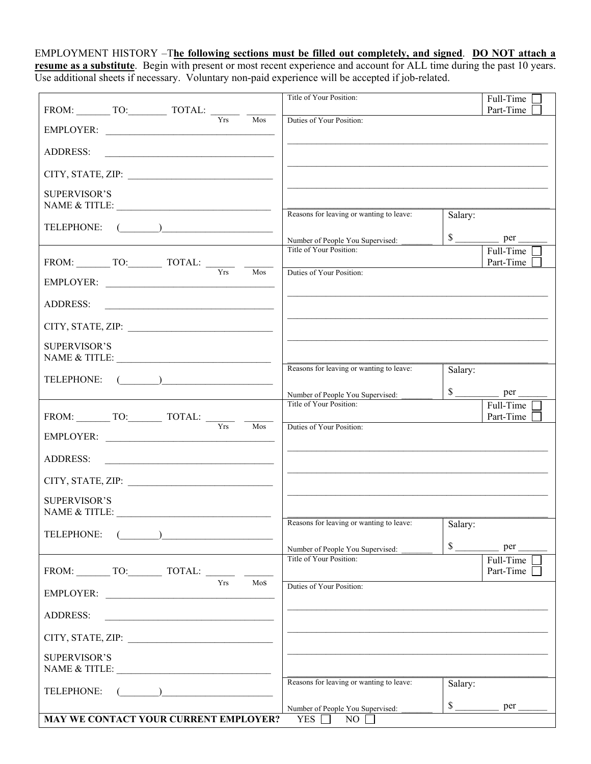EMPLOYMENT HISTORY –T**he following sections must be filled out completely, and signed**. **DO NOT attach a resume as a substitute**. Begin with present or most recent experience and account for ALL time during the past 10 years. Use additional sheets if necessary. Voluntary non-paid experience will be accepted if job-related.

|                                       |                                                                                                                                                                                                                                                                                                                                                                                             |                  |                         | Title of Your Position:                                     |                      | Full-Time<br>Part-Time            |
|---------------------------------------|---------------------------------------------------------------------------------------------------------------------------------------------------------------------------------------------------------------------------------------------------------------------------------------------------------------------------------------------------------------------------------------------|------------------|-------------------------|-------------------------------------------------------------|----------------------|-----------------------------------|
|                                       |                                                                                                                                                                                                                                                                                                                                                                                             | $\overline{Yrs}$ | $\overline{\text{Mos}}$ | Duties of Your Position:                                    |                      |                                   |
| EMPLOYER:                             |                                                                                                                                                                                                                                                                                                                                                                                             |                  |                         |                                                             |                      |                                   |
| <b>ADDRESS:</b>                       | <u> 2000 - Andrea Andrews, amerikansk politik (</u>                                                                                                                                                                                                                                                                                                                                         |                  |                         |                                                             |                      |                                   |
| CITY, STATE, ZIP:                     |                                                                                                                                                                                                                                                                                                                                                                                             |                  |                         |                                                             |                      |                                   |
| <b>SUPERVISOR'S</b>                   |                                                                                                                                                                                                                                                                                                                                                                                             |                  |                         |                                                             |                      |                                   |
| NAME & TITLE:                         |                                                                                                                                                                                                                                                                                                                                                                                             |                  |                         | Reasons for leaving or wanting to leave:                    | Salary:              |                                   |
| TELEPHONE:                            | $\begin{picture}(150,10) \put(0,0){\dashbox{0.5}(10,0){ }} \put(15,0){\circle{10}} \put(15,0){\circle{10}} \put(15,0){\circle{10}} \put(15,0){\circle{10}} \put(15,0){\circle{10}} \put(15,0){\circle{10}} \put(15,0){\circle{10}} \put(15,0){\circle{10}} \put(15,0){\circle{10}} \put(15,0){\circle{10}} \put(15,0){\circle{10}} \put(15,0){\circle{10}} \put(15,0){\circle{10}} \put(15$ |                  |                         | Number of People You Supervised:                            |                      | $\frac{\text{se}}{\text{se}}$ per |
|                                       |                                                                                                                                                                                                                                                                                                                                                                                             |                  |                         | Title of Your Position:                                     |                      | Full-Time                         |
|                                       |                                                                                                                                                                                                                                                                                                                                                                                             |                  | $M$ os                  | Duties of Your Position:                                    |                      | Part-Time                         |
| EMPLOYER:                             |                                                                                                                                                                                                                                                                                                                                                                                             |                  |                         |                                                             |                      |                                   |
| ADDRESS:                              | <u> 2002 - Jan James James Barnett, amerikansk politik (</u>                                                                                                                                                                                                                                                                                                                                |                  |                         |                                                             |                      |                                   |
|                                       |                                                                                                                                                                                                                                                                                                                                                                                             |                  |                         |                                                             |                      |                                   |
| <b>SUPERVISOR'S</b>                   |                                                                                                                                                                                                                                                                                                                                                                                             |                  |                         |                                                             |                      |                                   |
|                                       |                                                                                                                                                                                                                                                                                                                                                                                             |                  |                         | Reasons for leaving or wanting to leave:                    | Salary:              |                                   |
| TELEPHONE:                            | $\begin{picture}(20,10) \put(0,0){\line(1,0){10}} \put(15,0){\line(1,0){10}} \put(15,0){\line(1,0){10}} \put(15,0){\line(1,0){10}} \put(15,0){\line(1,0){10}} \put(15,0){\line(1,0){10}} \put(15,0){\line(1,0){10}} \put(15,0){\line(1,0){10}} \put(15,0){\line(1,0){10}} \put(15,0){\line(1,0){10}} \put(15,0){\line(1,0){10}} \put(15,0){\line(1$                                         |                  |                         |                                                             |                      |                                   |
|                                       |                                                                                                                                                                                                                                                                                                                                                                                             |                  |                         | Number of People You Supervised:<br>Title of Your Position: |                      |                                   |
|                                       |                                                                                                                                                                                                                                                                                                                                                                                             |                  |                         |                                                             |                      | Full-Time<br>Part-Time            |
| EMPLOYER:                             |                                                                                                                                                                                                                                                                                                                                                                                             |                  | $\overline{\text{Mos}}$ | Duties of Your Position:                                    |                      |                                   |
| <b>ADDRESS:</b>                       |                                                                                                                                                                                                                                                                                                                                                                                             |                  |                         |                                                             |                      |                                   |
|                                       |                                                                                                                                                                                                                                                                                                                                                                                             |                  |                         |                                                             |                      |                                   |
| <b>SUPERVISOR'S</b>                   |                                                                                                                                                                                                                                                                                                                                                                                             |                  |                         |                                                             |                      |                                   |
|                                       |                                                                                                                                                                                                                                                                                                                                                                                             |                  |                         |                                                             |                      |                                   |
| TELEPHONE:                            | $\overline{\phantom{a}}$                                                                                                                                                                                                                                                                                                                                                                    |                  |                         | Reasons for leaving or wanting to leave: Salary:            |                      |                                   |
|                                       |                                                                                                                                                                                                                                                                                                                                                                                             |                  |                         | Number of People You Supervised:                            | $\mathbb{S}$         | per                               |
| FROM: TO: TOTAL:                      |                                                                                                                                                                                                                                                                                                                                                                                             |                  |                         | Title of Your Position:                                     |                      | Full-Time<br>Part-Time            |
| EMPLOYER:                             |                                                                                                                                                                                                                                                                                                                                                                                             | Yrs              | Mos                     | Duties of Your Position:                                    |                      |                                   |
| <b>ADDRESS:</b>                       |                                                                                                                                                                                                                                                                                                                                                                                             |                  |                         |                                                             |                      |                                   |
|                                       | the control of the control of the control of the control of the control of the control of                                                                                                                                                                                                                                                                                                   |                  |                         |                                                             |                      |                                   |
|                                       |                                                                                                                                                                                                                                                                                                                                                                                             |                  |                         |                                                             |                      |                                   |
| <b>SUPERVISOR'S</b>                   |                                                                                                                                                                                                                                                                                                                                                                                             |                  |                         |                                                             |                      |                                   |
| TELEPHONE:                            |                                                                                                                                                                                                                                                                                                                                                                                             |                  |                         | Reasons for leaving or wanting to leave:                    | Salary:              |                                   |
|                                       |                                                                                                                                                                                                                                                                                                                                                                                             |                  |                         | Number of People You Supervised:                            | $\frac{\sqrt{2}}{2}$ | per                               |
| MAY WE CONTACT YOUR CURRENT EMPLOYER? |                                                                                                                                                                                                                                                                                                                                                                                             |                  |                         | <b>YES</b><br>NO                                            |                      |                                   |